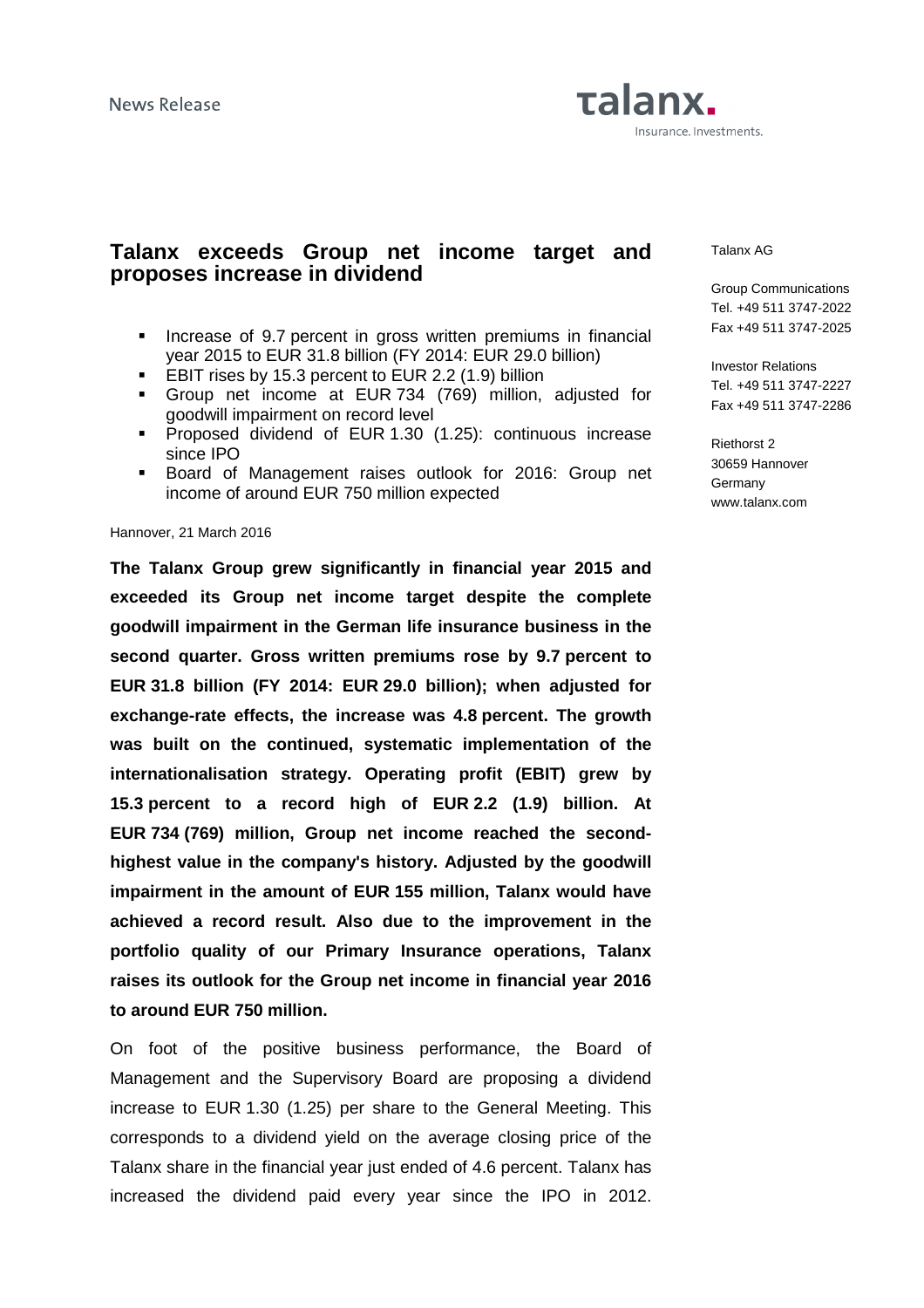# Talanx. Insurance. Investments.

### **Talanx exceeds Group net income target and proposes increase in dividend**

- **Increase of 9.7 percent in gross written premiums in financial** year 2015 to EUR 31.8 billion (FY 2014: EUR 29.0 billion)
- EBIT rises by 15.3 percent to EUR 2.2 (1.9) billion
- Group net income at EUR 734 (769) million, adjusted for goodwill impairment on record level
- **Proposed dividend of EUR 1.30 (1.25): continuous increase** since IPO
- **Board of Management raises outlook for 2016: Group net** income of around EUR 750 million expected

#### Hannover, 21 March 2016

**The Talanx Group grew significantly in financial year 2015 and exceeded its Group net income target despite the complete goodwill impairment in the German life insurance business in the second quarter. Gross written premiums rose by 9.7 percent to EUR 31.8 billion (FY 2014: EUR 29.0 billion); when adjusted for exchange-rate effects, the increase was 4.8 percent. The growth was built on the continued, systematic implementation of the internationalisation strategy. Operating profit (EBIT) grew by 15.3 percent to a record high of EUR 2.2 (1.9) billion. At EUR 734 (769) million, Group net income reached the secondhighest value in the company's history. Adjusted by the goodwill impairment in the amount of EUR 155 million, Talanx would have achieved a record result. Also due to the improvement in the portfolio quality of our Primary Insurance operations, Talanx raises its outlook for the Group net income in financial year 2016 to around EUR 750 million.** 

On foot of the positive business performance, the Board of Management and the Supervisory Board are proposing a dividend increase to EUR 1.30 (1.25) per share to the General Meeting. This corresponds to a dividend yield on the average closing price of the Talanx share in the financial year just ended of 4.6 percent. Talanx has increased the dividend paid every year since the IPO in 2012. Talanx AG

Group Communications Tel. +49 511 3747-2022 Fax +49 511 3747-2025

Investor Relations Tel. +49 511 3747-2227 Fax +49 511 3747-2286

Riethorst 2 30659 Hannover **Germany** www.talanx.com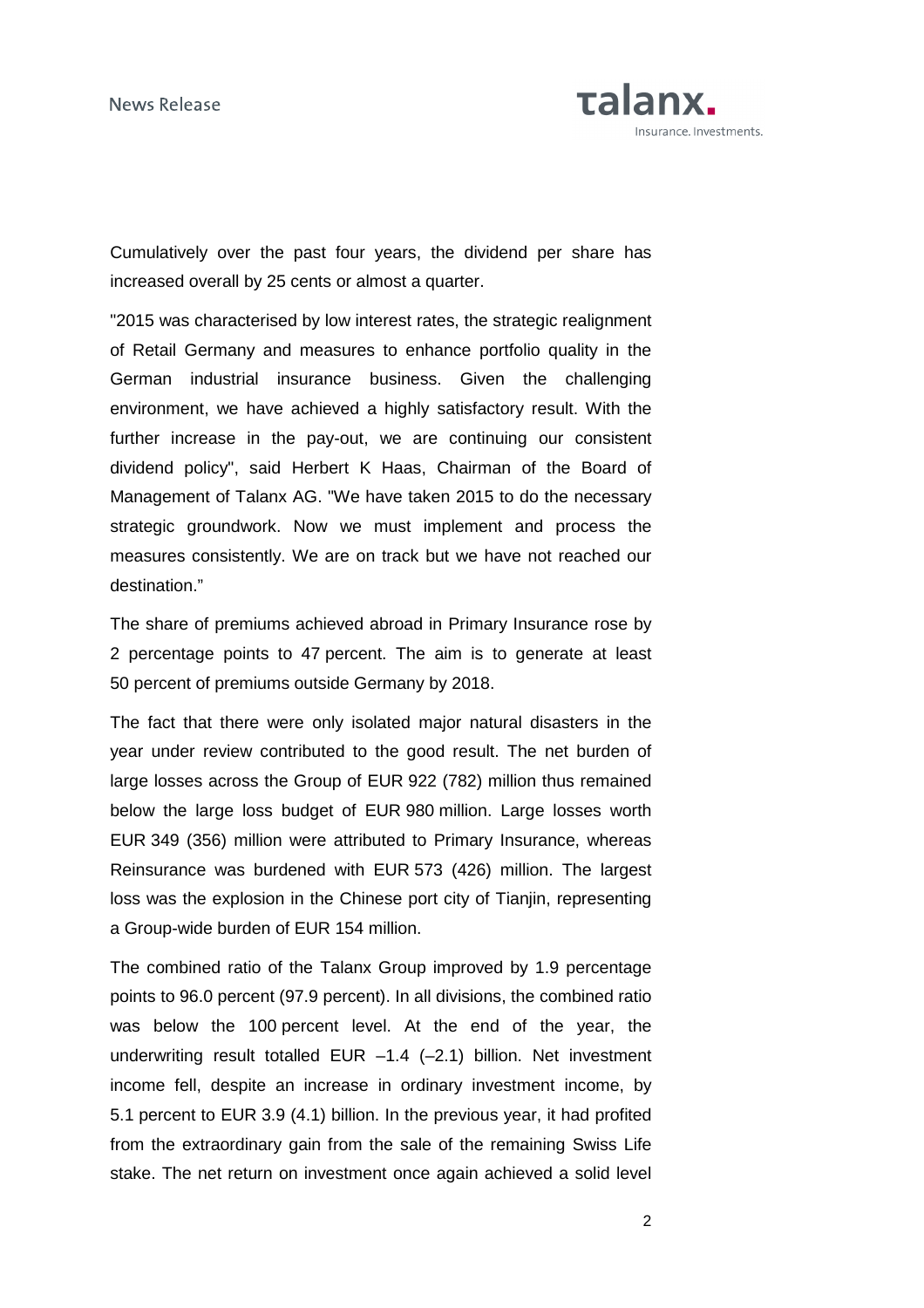

Cumulatively over the past four years, the dividend per share has increased overall by 25 cents or almost a quarter.

"2015 was characterised by low interest rates, the strategic realignment of Retail Germany and measures to enhance portfolio quality in the German industrial insurance business. Given the challenging environment, we have achieved a highly satisfactory result. With the further increase in the pay-out, we are continuing our consistent dividend policy", said Herbert K Haas, Chairman of the Board of Management of Talanx AG. "We have taken 2015 to do the necessary strategic groundwork. Now we must implement and process the measures consistently. We are on track but we have not reached our destination."

The share of premiums achieved abroad in Primary Insurance rose by 2 percentage points to 47 percent. The aim is to generate at least 50 percent of premiums outside Germany by 2018.

The fact that there were only isolated major natural disasters in the year under review contributed to the good result. The net burden of large losses across the Group of EUR 922 (782) million thus remained below the large loss budget of EUR 980 million. Large losses worth EUR 349 (356) million were attributed to Primary Insurance, whereas Reinsurance was burdened with EUR 573 (426) million. The largest loss was the explosion in the Chinese port city of Tianjin, representing a Group-wide burden of EUR 154 million.

The combined ratio of the Talanx Group improved by 1.9 percentage points to 96.0 percent (97.9 percent). In all divisions, the combined ratio was below the 100 percent level. At the end of the year, the underwriting result totalled EUR -1.4 (-2.1) billion. Net investment income fell, despite an increase in ordinary investment income, by 5.1 percent to EUR 3.9 (4.1) billion. In the previous year, it had profited from the extraordinary gain from the sale of the remaining Swiss Life stake. The net return on investment once again achieved a solid level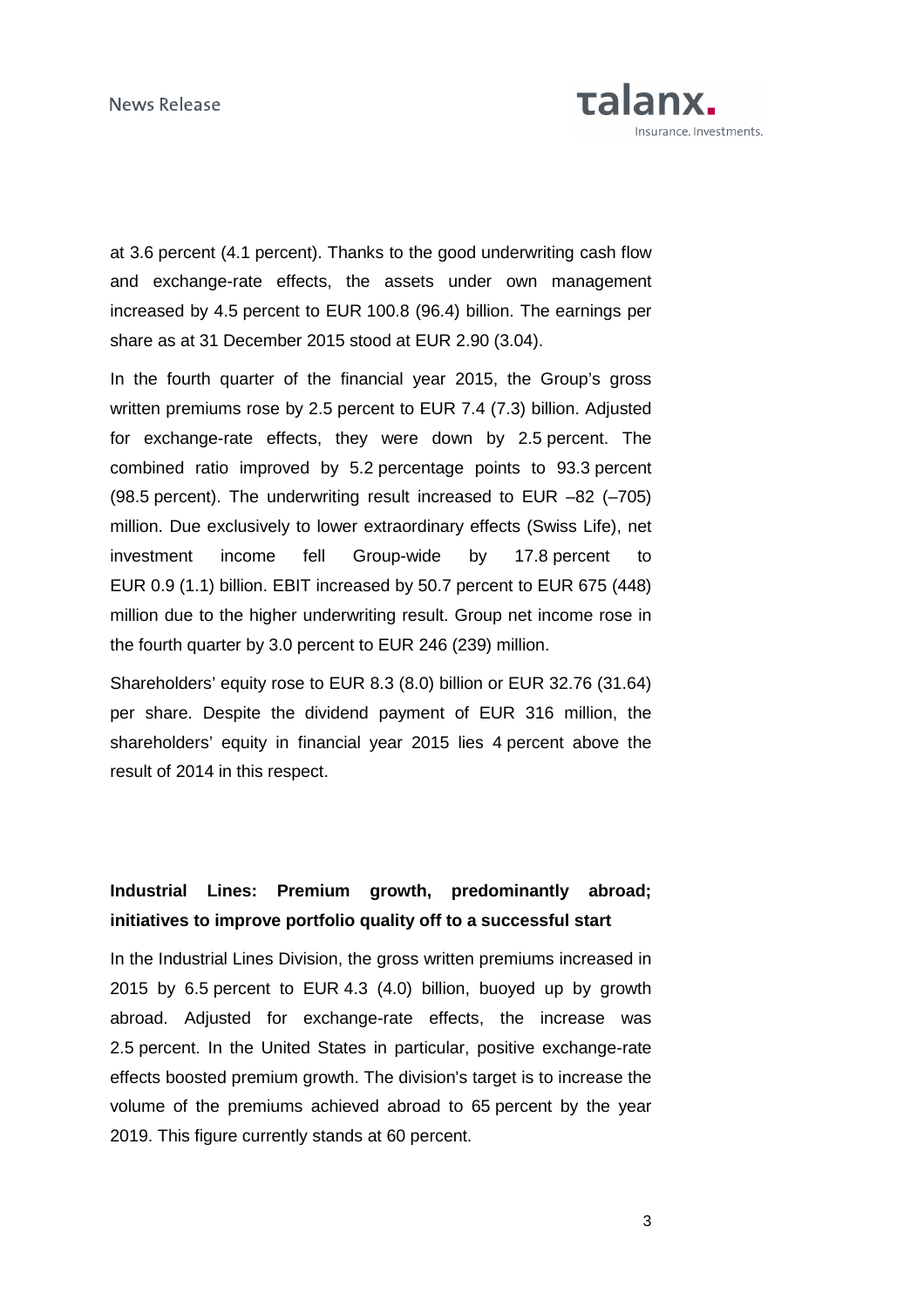

at 3.6 percent (4.1 percent). Thanks to the good underwriting cash flow and exchange-rate effects, the assets under own management increased by 4.5 percent to EUR 100.8 (96.4) billion. The earnings per share as at 31 December 2015 stood at EUR 2.90 (3.04).

In the fourth quarter of the financial year 2015, the Group's gross written premiums rose by 2.5 percent to EUR 7.4 (7.3) billion. Adjusted for exchange-rate effects, they were down by 2.5 percent. The combined ratio improved by 5.2 percentage points to 93.3 percent (98.5 percent). The underwriting result increased to EUR –82 (–705) million. Due exclusively to lower extraordinary effects (Swiss Life), net investment income fell Group-wide by 17.8 percent to EUR 0.9 (1.1) billion. EBIT increased by 50.7 percent to EUR 675 (448) million due to the higher underwriting result. Group net income rose in the fourth quarter by 3.0 percent to EUR 246 (239) million.

Shareholders' equity rose to EUR 8.3 (8.0) billion or EUR 32.76 (31.64) per share. Despite the dividend payment of EUR 316 million, the shareholders' equity in financial year 2015 lies 4 percent above the result of 2014 in this respect.

### **Industrial Lines: Premium growth, predominantly abroad; initiatives to improve portfolio quality off to a successful start**

In the Industrial Lines Division, the gross written premiums increased in 2015 by 6.5 percent to EUR 4.3 (4.0) billion, buoyed up by growth abroad. Adjusted for exchange-rate effects, the increase was 2.5 percent. In the United States in particular, positive exchange-rate effects boosted premium growth. The division's target is to increase the volume of the premiums achieved abroad to 65 percent by the year 2019. This figure currently stands at 60 percent.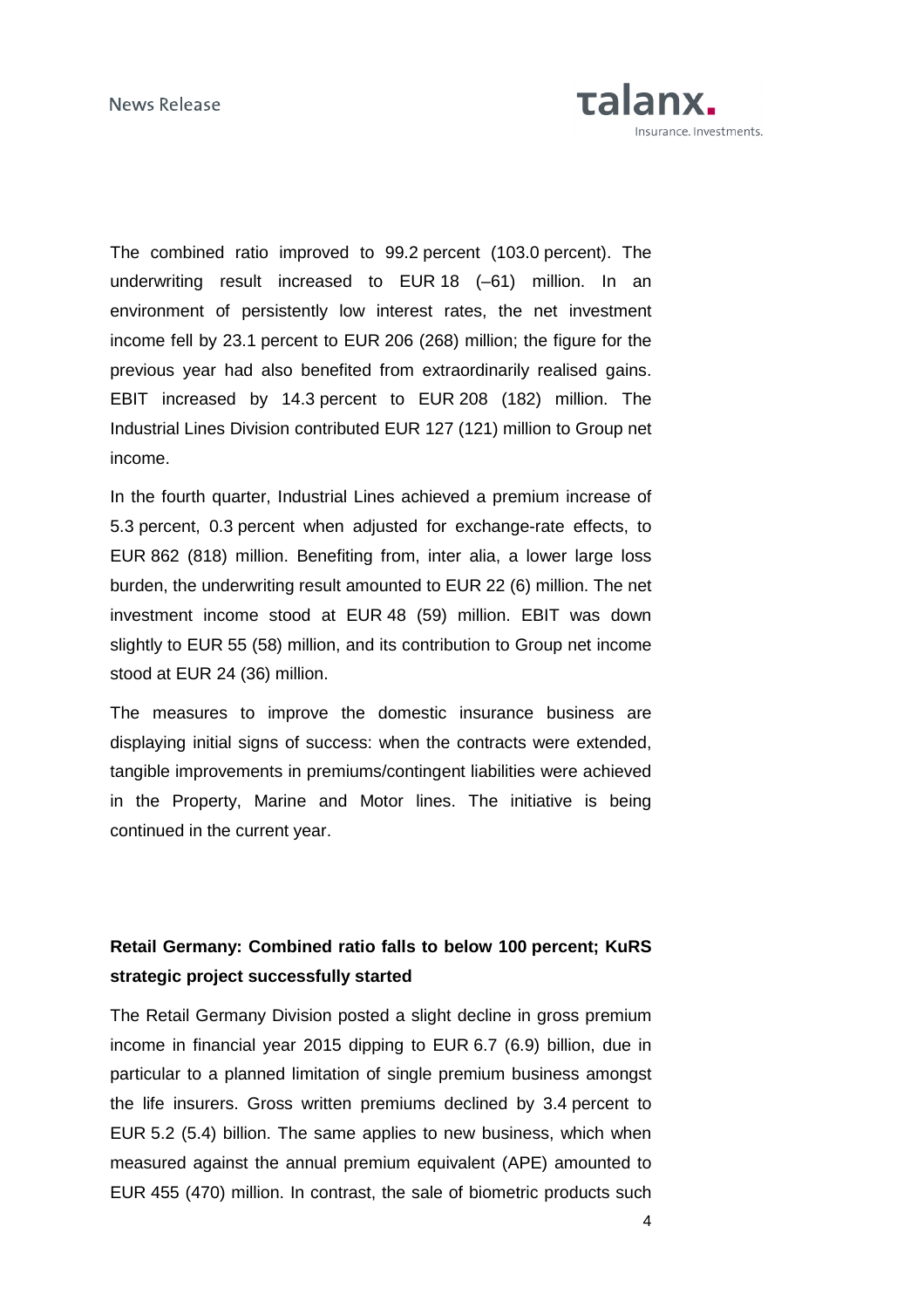

The combined ratio improved to 99.2 percent (103.0 percent). The underwriting result increased to EUR 18 (–61) million. In an environment of persistently low interest rates, the net investment income fell by 23.1 percent to EUR 206 (268) million; the figure for the previous year had also benefited from extraordinarily realised gains. EBIT increased by 14.3 percent to EUR 208 (182) million. The Industrial Lines Division contributed EUR 127 (121) million to Group net income.

In the fourth quarter, Industrial Lines achieved a premium increase of 5.3 percent, 0.3 percent when adjusted for exchange-rate effects, to EUR 862 (818) million. Benefiting from, inter alia, a lower large loss burden, the underwriting result amounted to EUR 22 (6) million. The net investment income stood at EUR 48 (59) million. EBIT was down slightly to EUR 55 (58) million, and its contribution to Group net income stood at EUR 24 (36) million.

The measures to improve the domestic insurance business are displaying initial signs of success: when the contracts were extended, tangible improvements in premiums/contingent liabilities were achieved in the Property, Marine and Motor lines. The initiative is being continued in the current year.

### **Retail Germany: Combined ratio falls to below 100 percent; KuRS strategic project successfully started**

The Retail Germany Division posted a slight decline in gross premium income in financial year 2015 dipping to EUR 6.7 (6.9) billion, due in particular to a planned limitation of single premium business amongst the life insurers. Gross written premiums declined by 3.4 percent to EUR 5.2 (5.4) billion. The same applies to new business, which when measured against the annual premium equivalent (APE) amounted to EUR 455 (470) million. In contrast, the sale of biometric products such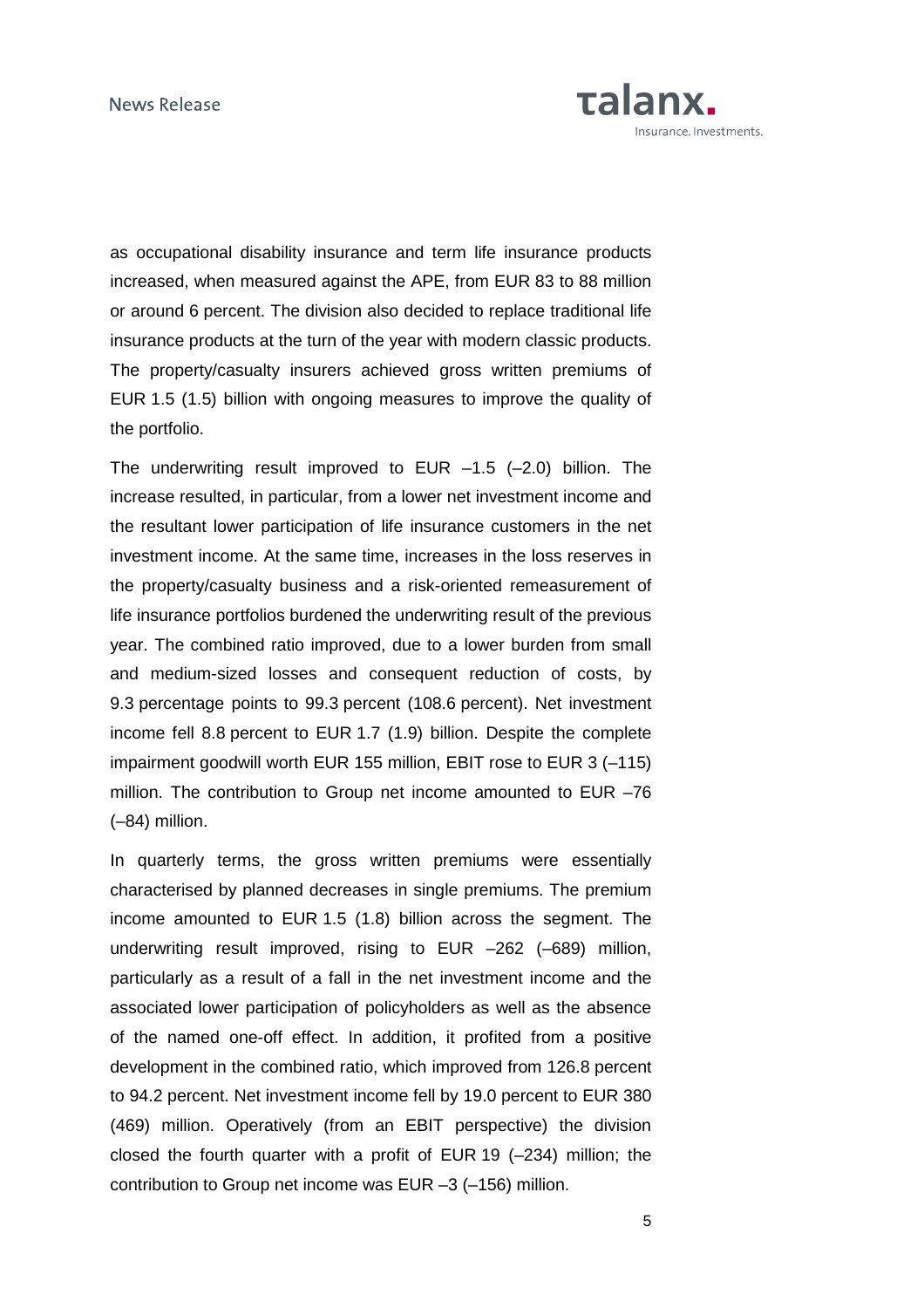

as occupational disability insurance and term life insurance products increased, when measured against the APE, from EUR 83 to 88 million or around 6 percent. The division also decided to replace traditional life insurance products at the turn of the year with modern classic products. The property/casualty insurers achieved gross written premiums of EUR 1.5 (1.5) billion with ongoing measures to improve the quality of the portfolio.

The underwriting result improved to EUR  $-1.5$  (-2.0) billion. The increase resulted, in particular, from a lower net investment income and the resultant lower participation of life insurance customers in the net investment income. At the same time, increases in the loss reserves in the property/casualty business and a risk-oriented remeasurement of life insurance portfolios burdened the underwriting result of the previous year. The combined ratio improved, due to a lower burden from small and medium-sized losses and consequent reduction of costs, by 9.3 percentage points to 99.3 percent (108.6 percent). Net investment income fell 8.8 percent to EUR 1.7 (1.9) billion. Despite the complete impairment goodwill worth EUR 155 million, EBIT rose to EUR 3 (–115) million. The contribution to Group net income amounted to EUR –76 (–84) million.

In quarterly terms, the gross written premiums were essentially characterised by planned decreases in single premiums. The premium income amounted to EUR 1.5 (1.8) billion across the segment. The underwriting result improved, rising to EUR –262 (–689) million, particularly as a result of a fall in the net investment income and the associated lower participation of policyholders as well as the absence of the named one-off effect. In addition, it profited from a positive development in the combined ratio, which improved from 126.8 percent to 94.2 percent. Net investment income fell by 19.0 percent to EUR 380 (469) million. Operatively (from an EBIT perspective) the division closed the fourth quarter with a profit of EUR 19 (–234) million; the contribution to Group net income was EUR –3 (–156) million.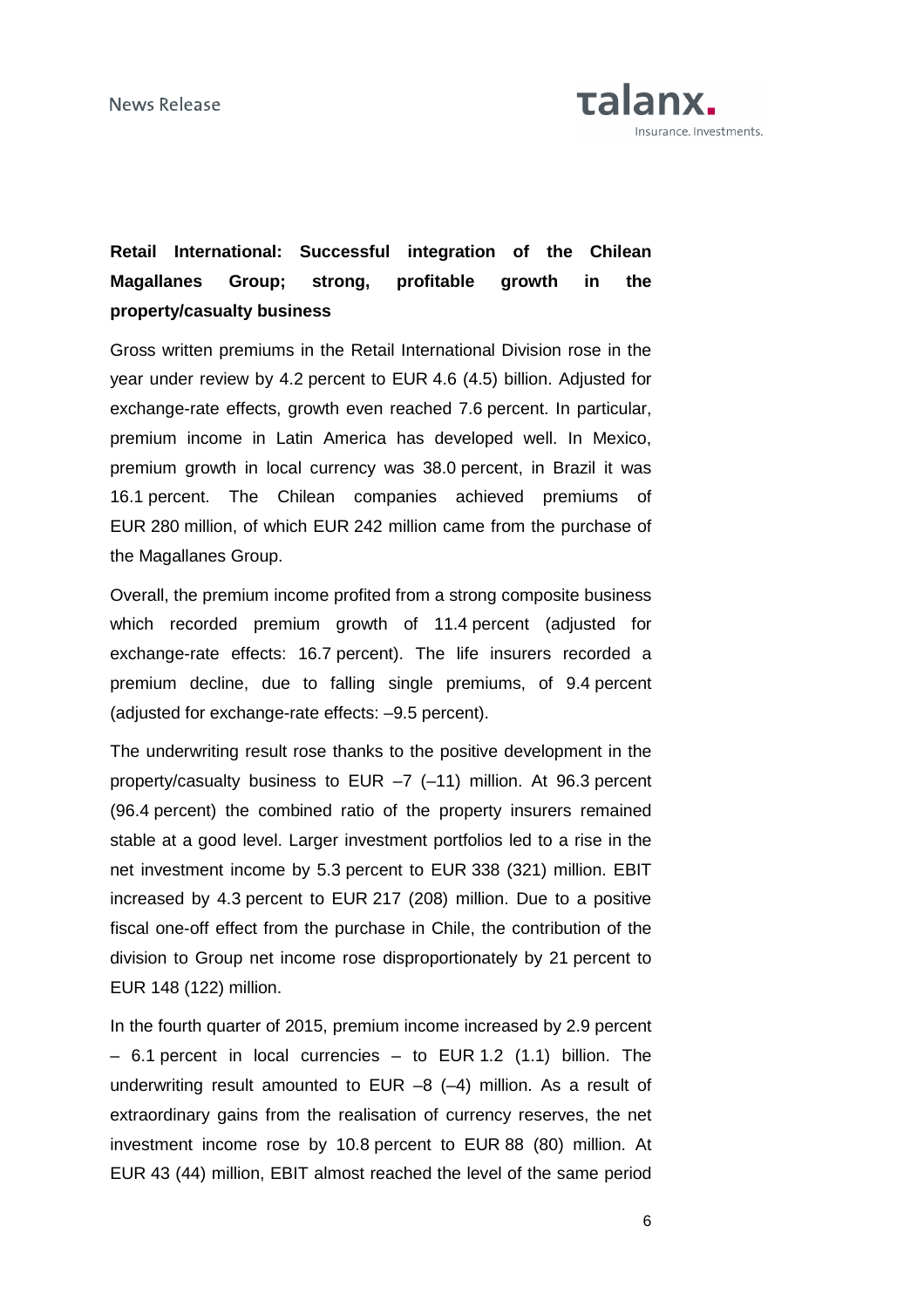

# **Retail International: Successful integration of the Chilean Magallanes Group; strong, profitable growth in the property/casualty business**

Gross written premiums in the Retail International Division rose in the year under review by 4.2 percent to EUR 4.6 (4.5) billion. Adjusted for exchange-rate effects, growth even reached 7.6 percent. In particular, premium income in Latin America has developed well. In Mexico, premium growth in local currency was 38.0 percent, in Brazil it was 16.1 percent. The Chilean companies achieved premiums of EUR 280 million, of which EUR 242 million came from the purchase of the Magallanes Group.

Overall, the premium income profited from a strong composite business which recorded premium growth of 11.4 percent (adjusted for exchange-rate effects: 16.7 percent). The life insurers recorded a premium decline, due to falling single premiums, of 9.4 percent (adjusted for exchange-rate effects: –9.5 percent).

The underwriting result rose thanks to the positive development in the property/casualty business to EUR –7 (–11) million. At 96.3 percent (96.4 percent) the combined ratio of the property insurers remained stable at a good level. Larger investment portfolios led to a rise in the net investment income by 5.3 percent to EUR 338 (321) million. EBIT increased by 4.3 percent to EUR 217 (208) million. Due to a positive fiscal one-off effect from the purchase in Chile, the contribution of the division to Group net income rose disproportionately by 21 percent to EUR 148 (122) million.

In the fourth quarter of 2015, premium income increased by 2.9 percent – 6.1 percent in local currencies – to EUR 1.2 (1.1) billion. The underwriting result amounted to EUR –8 (–4) million. As a result of extraordinary gains from the realisation of currency reserves, the net investment income rose by 10.8 percent to EUR 88 (80) million. At EUR 43 (44) million, EBIT almost reached the level of the same period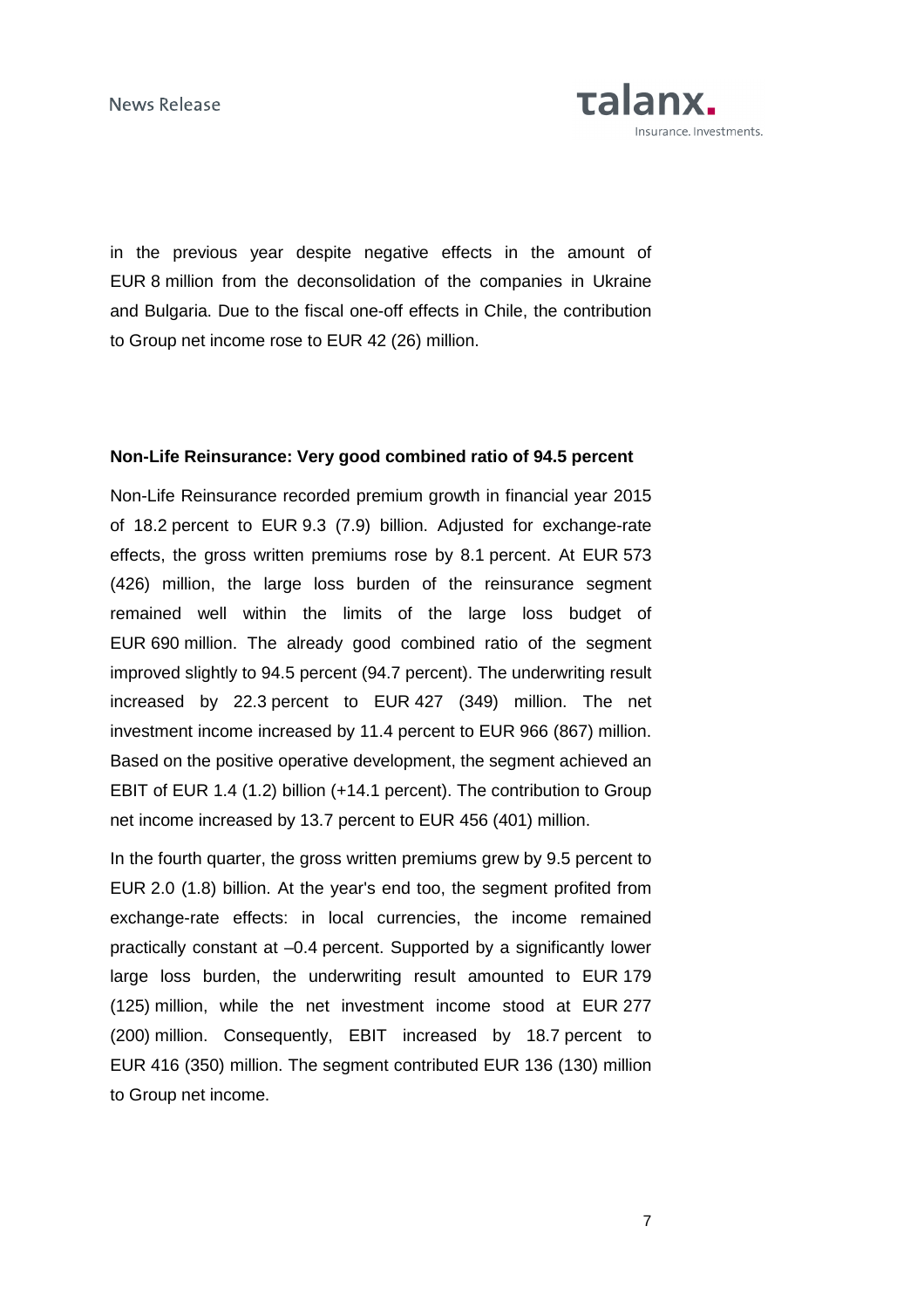

in the previous year despite negative effects in the amount of EUR 8 million from the deconsolidation of the companies in Ukraine and Bulgaria. Due to the fiscal one-off effects in Chile, the contribution to Group net income rose to EUR 42 (26) million.

#### **Non-Life Reinsurance: Very good combined ratio of 94.5 percent**

Non-Life Reinsurance recorded premium growth in financial year 2015 of 18.2 percent to EUR 9.3 (7.9) billion. Adjusted for exchange-rate effects, the gross written premiums rose by 8.1 percent. At EUR 573 (426) million, the large loss burden of the reinsurance segment remained well within the limits of the large loss budget of EUR 690 million. The already good combined ratio of the segment improved slightly to 94.5 percent (94.7 percent). The underwriting result increased by 22.3 percent to EUR 427 (349) million. The net investment income increased by 11.4 percent to EUR 966 (867) million. Based on the positive operative development, the segment achieved an EBIT of EUR 1.4 (1.2) billion (+14.1 percent). The contribution to Group net income increased by 13.7 percent to EUR 456 (401) million.

In the fourth quarter, the gross written premiums grew by 9.5 percent to EUR 2.0 (1.8) billion. At the year's end too, the segment profited from exchange-rate effects: in local currencies, the income remained practically constant at –0.4 percent. Supported by a significantly lower large loss burden, the underwriting result amounted to EUR 179 (125) million, while the net investment income stood at EUR 277 (200) million. Consequently, EBIT increased by 18.7 percent to EUR 416 (350) million. The segment contributed EUR 136 (130) million to Group net income.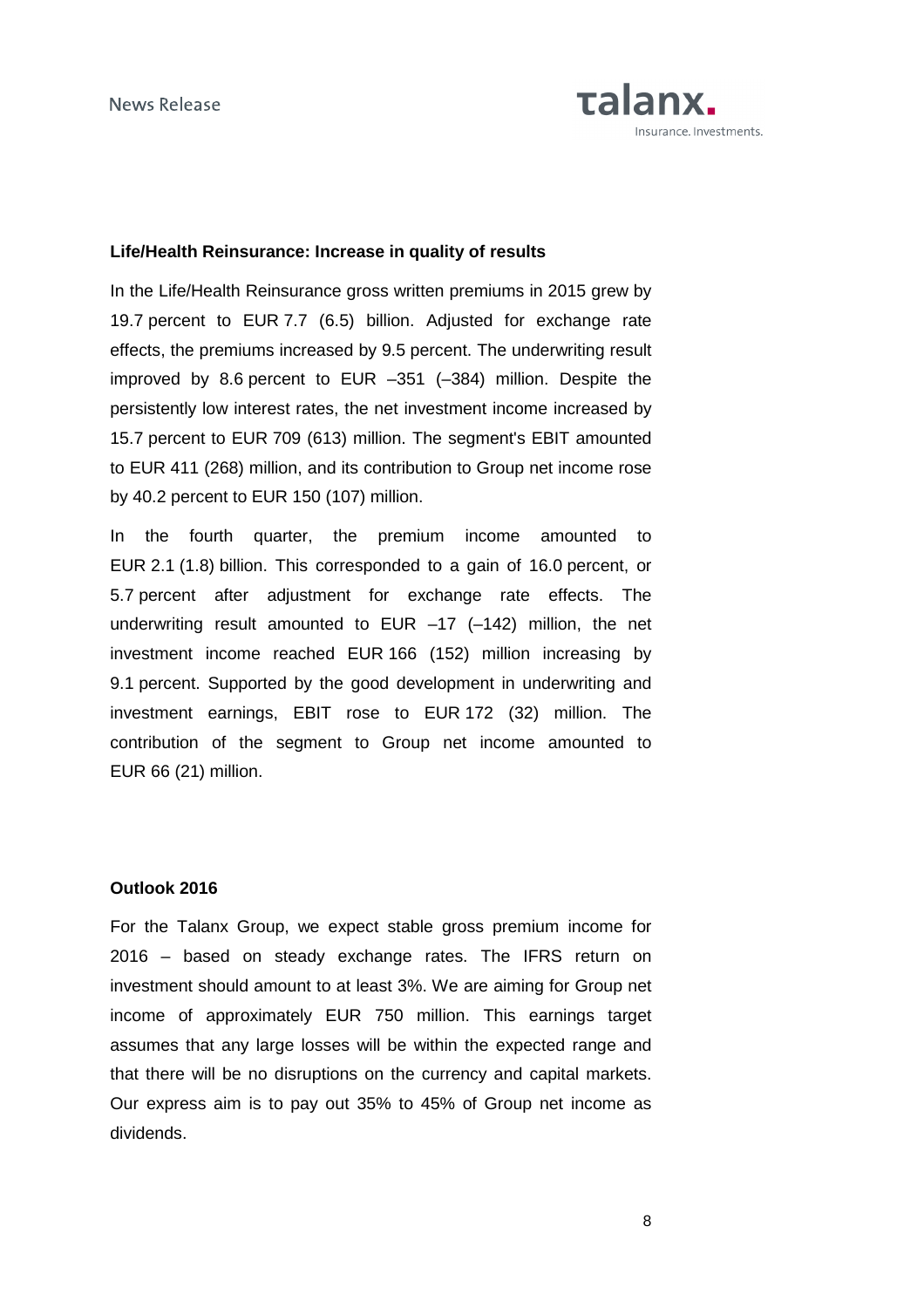

### **Life/Health Reinsurance: Increase in quality of results**

In the Life/Health Reinsurance gross written premiums in 2015 grew by 19.7 percent to EUR 7.7 (6.5) billion. Adjusted for exchange rate effects, the premiums increased by 9.5 percent. The underwriting result improved by 8.6 percent to EUR –351 (–384) million. Despite the persistently low interest rates, the net investment income increased by 15.7 percent to EUR 709 (613) million. The segment's EBIT amounted to EUR 411 (268) million, and its contribution to Group net income rose by 40.2 percent to EUR 150 (107) million.

In the fourth quarter, the premium income amounted to EUR 2.1 (1.8) billion. This corresponded to a gain of 16.0 percent, or 5.7 percent after adjustment for exchange rate effects. The underwriting result amounted to EUR –17 (–142) million, the net investment income reached EUR 166 (152) million increasing by 9.1 percent. Supported by the good development in underwriting and investment earnings, EBIT rose to EUR 172 (32) million. The contribution of the segment to Group net income amounted to EUR 66 (21) million.

#### **Outlook 2016**

For the Talanx Group, we expect stable gross premium income for 2016 – based on steady exchange rates. The IFRS return on investment should amount to at least 3%. We are aiming for Group net income of approximately EUR 750 million. This earnings target assumes that any large losses will be within the expected range and that there will be no disruptions on the currency and capital markets. Our express aim is to pay out 35% to 45% of Group net income as dividends.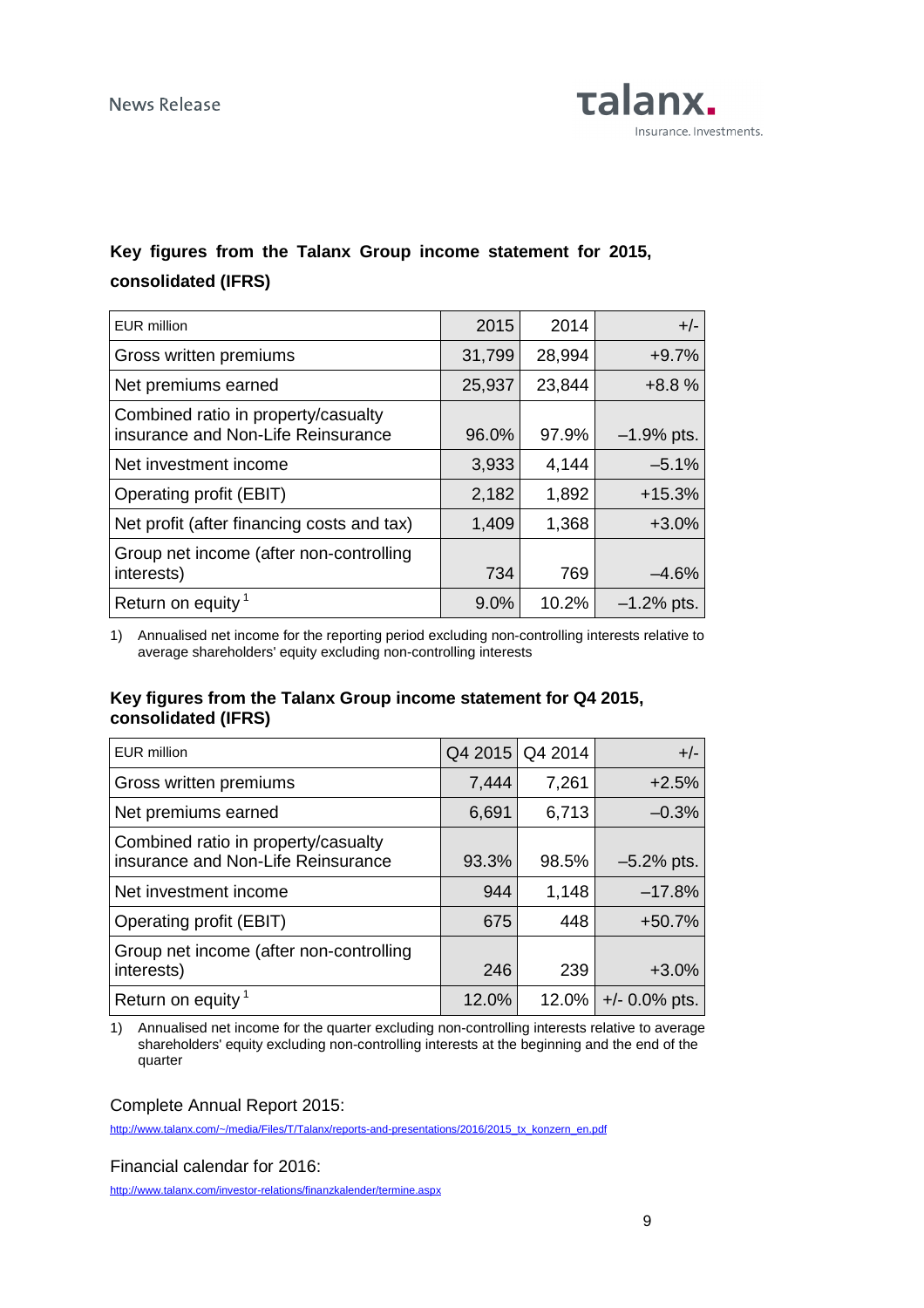

## **Key figures from the Talanx Group income statement for 2015, consolidated (IFRS)**

| <b>EUR million</b>                                                        | 2015   | 2014   | $+/-$        |
|---------------------------------------------------------------------------|--------|--------|--------------|
| Gross written premiums                                                    | 31,799 | 28,994 | $+9.7%$      |
| Net premiums earned                                                       | 25,937 | 23,844 | $+8.8%$      |
| Combined ratio in property/casualty<br>insurance and Non-Life Reinsurance | 96.0%  | 97.9%  | $-1.9%$ pts. |
| Net investment income                                                     | 3,933  | 4,144  | $-5.1%$      |
| Operating profit (EBIT)                                                   | 2,182  | 1,892  | $+15.3%$     |
| Net profit (after financing costs and tax)                                | 1,409  | 1,368  | $+3.0%$      |
| Group net income (after non-controlling<br>interests)                     | 734    | 769    | $-4.6%$      |
| Return on equity <sup>1</sup>                                             | 9.0%   | 10.2%  | $-1.2%$ pts. |

1) Annualised net income for the reporting period excluding non-controlling interests relative to average shareholders' equity excluding non-controlling interests

### **Key figures from the Talanx Group income statement for Q4 2015, consolidated (IFRS)**

| <b>EUR million</b>                                                        | Q4 2015 | Q4 2014 | $+/-$            |
|---------------------------------------------------------------------------|---------|---------|------------------|
| Gross written premiums                                                    | 7,444   | 7,261   | $+2.5%$          |
| Net premiums earned                                                       | 6,691   | 6,713   | $-0.3%$          |
| Combined ratio in property/casualty<br>insurance and Non-Life Reinsurance | 93.3%   | 98.5%   | $-5.2%$ pts.     |
| Net investment income                                                     | 944     | 1,148   | $-17.8%$         |
| Operating profit (EBIT)                                                   | 675     | 448     | $+50.7%$         |
| Group net income (after non-controlling<br>interests)                     | 246     | 239     | $+3.0%$          |
| Return on equity <sup>1</sup>                                             | 12.0%   | 12.0%   | $+/- 0.0\%$ pts. |

1) Annualised net income for the quarter excluding non-controlling interests relative to average shareholders' equity excluding non-controlling interests at the beginning and the end of the quarter

Complete Annual Report 2015:

http://www.talanx.com/~/media/Files/T/Talanx/reports-and-presentations/2016/2015\_tx\_konzern\_en.pdf

Financial calendar for 2016:

http://www.talanx.com/investor-relations/finanzkalender/termine.aspx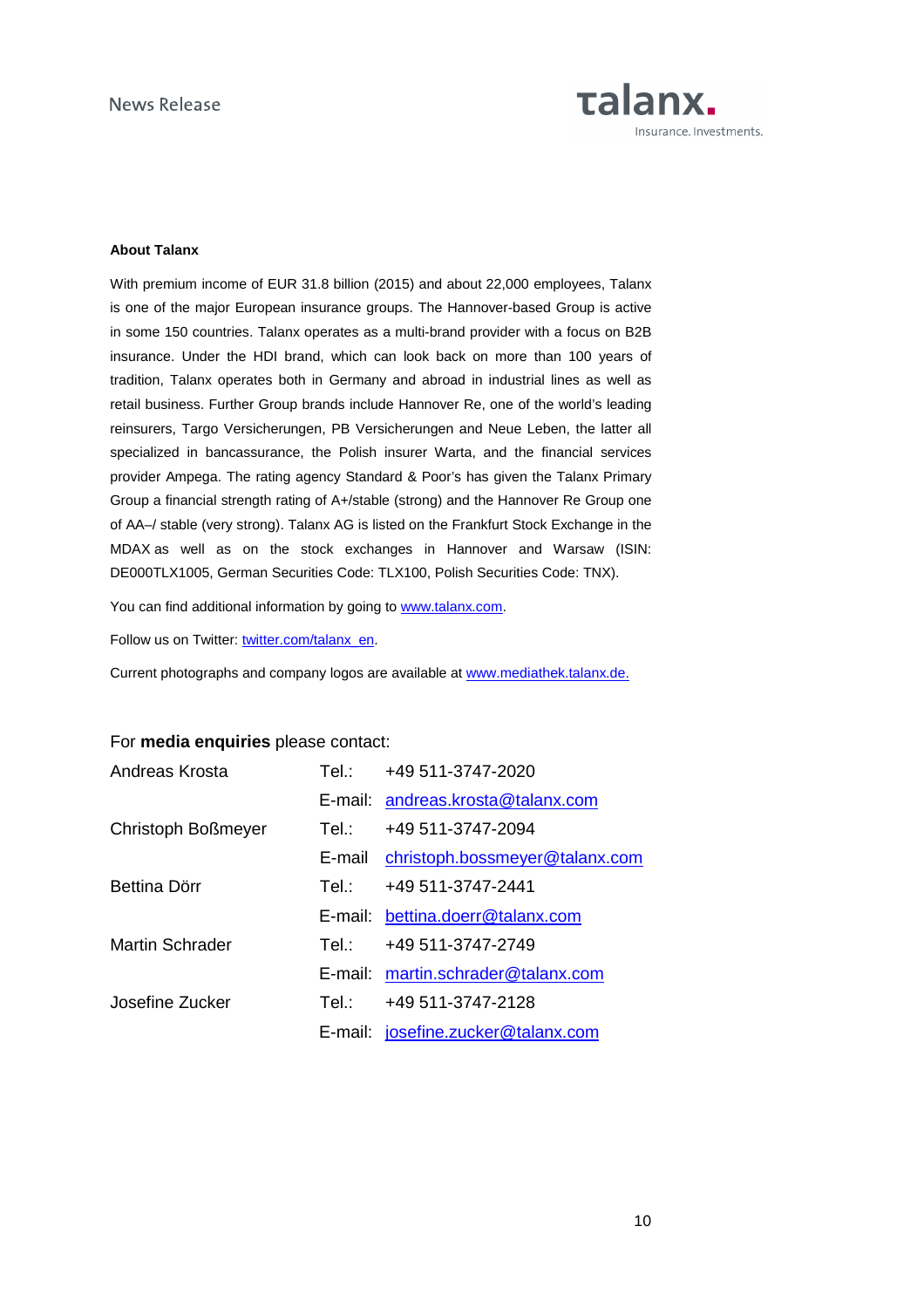

#### **About Talanx**

With premium income of EUR 31.8 billion (2015) and about 22,000 employees, Talanx is one of the major European insurance groups. The Hannover-based Group is active in some 150 countries. Talanx operates as a multi-brand provider with a focus on B2B insurance. Under the HDI brand, which can look back on more than 100 years of tradition, Talanx operates both in Germany and abroad in industrial lines as well as retail business. Further Group brands include Hannover Re, one of the world's leading reinsurers, Targo Versicherungen, PB Versicherungen and Neue Leben, the latter all specialized in bancassurance, the Polish insurer Warta, and the financial services provider Ampega. The rating agency Standard & Poor's has given the Talanx Primary Group a financial strength rating of A+/stable (strong) and the Hannover Re Group one of AA–/ stable (very strong). Talanx AG is listed on the Frankfurt Stock Exchange in the MDAX as well as on the stock exchanges in Hannover and Warsaw (ISIN: DE000TLX1005, German Securities Code: TLX100, Polish Securities Code: TNX).

You can find additional information by going to www.talanx.com.

Follow us on Twitter: twitter.com/talanx\_en.

Current photographs and company logos are available at www.mediathek.talanx.de.

| Andreas Krosta     |         | Tel.: $+49.511-3747-2020$          |
|--------------------|---------|------------------------------------|
|                    |         | E-mail: andreas.krosta@talanx.com  |
| Christoph Boßmeyer | Tel.: I | +49 511-3747-2094                  |
|                    | E-mail  | christoph.bossmeyer@talanx.com     |
| Bettina Dörr       | Tel∴    | +49 511-3747-2441                  |
|                    |         | E-mail: bettina.doerr@talanx.com   |
| Martin Schrader    | Tel∴    | +49 511-3747-2749                  |
|                    |         | E-mail: martin.schrader@talanx.com |
| Josefine Zucker    | Tel∴    | +49 511-3747-2128                  |
|                    |         | E-mail: josefine.zucker@talanx.com |

#### For **media enquiries** please contact: